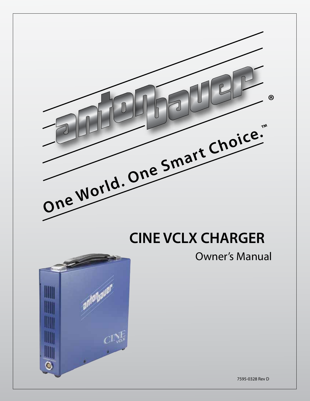

# **CINE VCLX CHARGER**

### Owner's Manual



7595-0328 Rev D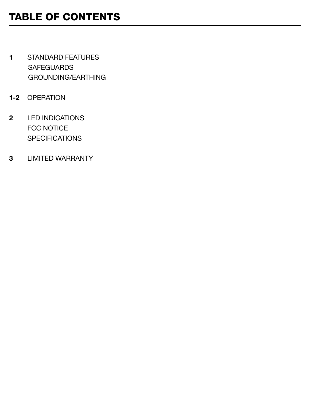# TABLE OF CONTENTS

- 1 | STANDARD FEATURES **SAFEGUARDS** GROUNDING/EARTHING
- 1-2 OPERATION
- 2 | LED INDICATIONS FCC NOTICE **SPECIFICATIONS**
- 3 LIMITED WARRANTY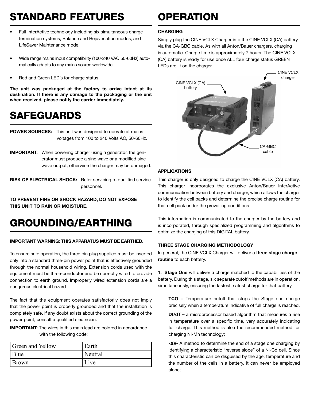# STANDARD FEATURES

- Full InterActive technology including six simultaneous charge termination systems, Balance and Rejuvenation modes, and LifeSaver Maintenance mode.
- Wide range mains input compatibility (100-240 VAC 50-60Hz) automatically adapts to any mains source worldwide.
- Red and Green LED's for charge status.

The unit was packaged at the factory to arrive intact at its destination. If there is any damage to the packaging or the unit when received, please notify the carrier immediately.

# SAFEGUARDS

**POWER SOURCES:** This unit was designed to operate at mains voltages from 100 to 240 Volts AC, 50-60Hz.

IMPORTANT: When powering charger using a generator, the gen erator must produce a sine wave or a modified sine wave output, otherwise the charger may be damaged.

RISK OF ELECTRICAL SHOCK: Refer servicing to qualified service personnel.

TO PREVENT FIRE OR SHOCK HAZARD, DO NOT EXPOSE THIS UNIT TO RAIN OR MOISTURE.

### GROUNDING/EARTHING

#### IMPORTANT WARNING: THIS APPARATUS MUST BE EARTHED.

To ensure safe operation, the three pin plug supplied must be inserted only into a standard three-pin power point that is effectively grounded through the normal household wiring. Extension cords used with the equipment must be three-conductor and be correctly wired to provide connection to earth ground. Improperly wired extension cords are a dangerous electrical hazard.

The fact that the equipment operates satisfactorily does not imply that the power point is properly grounded and that the installation is completely safe. If any doubt exists about the correct grounding of the power point, consult a qualified electrician.

IMPORTANT: The wires in this main lead are colored in accordance with the following code:

| <b>Green and Yellow</b> | Earth   |
|-------------------------|---------|
| Blue                    | Neutral |
| <b>Brown</b>            | Live    |

# OPERATION

### **CHARGING**

Simply plug the CINE VCLX Charger into the CINE VCLX (CA) battery via the CA-GBC cable. As with all Anton/Bauer chargers, charging is automatic. Charge time is approximately 7 hours. The CINE VCLX (CA) battery is ready for use once ALL four charge status GREEN LEDs are lit on the charger.



### APPLICATIONS

This charger is only designed to charge the CINE VCLX (CA) battery. This charger incorporates the exclusive Anton/Bauer InterActive communication between battery and charger, which allows the charger to identify the cell packs and determine the precise charge routine for that cell pack under the prevailing conditions.

This information is communicated to the charger by the battery and is incorporated, through specialized programming and algorithms to optimize the charging of this DIGITAL battery.

### THREE STAGE CHARGING METHODOLOGY

In general, the CINE VCLX Charger will deliver a three stage charge routine to each battery.

1. Stage One will deliver a charge matched to the capabilities of the battery. During this stage, six separate cutoff methods are in operation, simultaneously, ensuring the fastest, safest charge for that battery.

TCO – Temperature cutoff that stops the Stage one charge precisely when a temperature indicative of full charge is reached.

Dt/dT – a microprocessor based algorithm that measures a rise in temperature over a specific time, very accurately indicating full charge. This method is also the recommended method for charging Ni-Mh technology;

-∆V- A method to determine the end of a stage one charging by identifying a characteristic "reverse slope" of a Ni-Cd cell. Since this characteristic can be disguised by the age, temperature and the number of the cells in a battery, it can never be employed alone;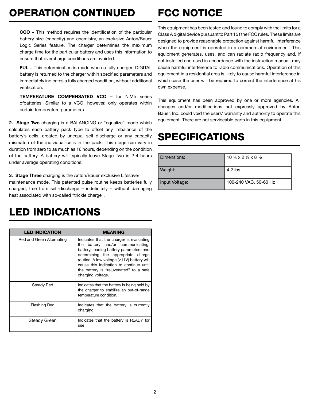# OPERATION CONTINUED

# FCC NOTICE

CCO – This method requires the identification of the particular battery size (capacity) and chemistry, an exclusive Anton/Bauer Logic Series feature. The charger determines the maximum charge time for the particular battery and uses this information to ensure that overcharge conditions are avoided.

FUL – This determination is made when a fully charged DIGITAL battery is returned to the charger within specified parameters and immediately indicates a fully charged condition, without additional verification.

TEMPERATURE COMPENSATED VCO – for NiMh series ofbatteries. Similar to a VCO, however, only operates within certain temperature parameters.

2. Stage Two charging is a BALANCING or "equalize" mode which calculates each battery pack type to offset any imbalance of the battery's cells, created by unequal self discharge or any capacity mismatch of the individual cells in the pack. This stage can vary in duration from zero to as much as 16 hours, depending on the condition of the battery. A battery will typically leave Stage Two in 2-4 hours under average operating conditions.

3. Stage Three charging is the Anton/Bauer exclusive Lifesaver

maintenance mode. This patented pulse routine keeps batteries fully charged, free from self-discharge – indefinitely – without damaging heat associated with so-called "trickle charge".

### LED INDICATIONS

| <b>LED INDICATION</b>     | <b>MEANING</b>                                                                                                                                                                                                                                                                                                         |
|---------------------------|------------------------------------------------------------------------------------------------------------------------------------------------------------------------------------------------------------------------------------------------------------------------------------------------------------------------|
| Red and Green Alternating | Indicates that the charger is evaluating<br>the battery and/or communicating,<br>battery, loading battery parameters and<br>determining the appropriate charge<br>routine. A low voltage (<11V) battery will<br>cause this indication to continue until<br>the battery is "rejuvenated" to a safe<br>charging voltage. |
| Steady Red                | Indicates that the battery is being held by<br>the charger to stabilize an out-of-range<br>temperature condition.                                                                                                                                                                                                      |
| <b>Flashing Red</b>       | Indicates that the battery is currently<br>charging.                                                                                                                                                                                                                                                                   |
| Steady Green              | Indicates that the battery is READY for<br>use                                                                                                                                                                                                                                                                         |

This equipment has been tested and found to comply with the limits for a Class A digital device pursuant to Part 15 f the FCC rules. These limits are designed to provide reasonable protection against harmful interference when the equipment is operated in a commercial environment. This equipment generates, uses, and can radiate radio frequency and, if not installed and used in accordance with the instruction manual, may cause harmful interference to radio communications. Operation of this equipment in a residential area is likely to cause harmful interference in which case the user will be required to correct the interference at his own expense.

This equipment has been approved by one or more agencies. All changes and/or modifications not expressly approved by Anton Bauer, Inc. could void the users' warranty and authority to operate this equipment. There are not serviceable parts in this equipment.

# SPECIFICATIONS

| Dimensions:    | 10 $\frac{1}{4}$ x 2 $\frac{1}{4}$ x 8 $\frac{1}{2}$ |
|----------------|------------------------------------------------------|
| Weight:        | $4.2$ lbs                                            |
| Input Voltage: | 100-240 VAC, 50-60 Hz                                |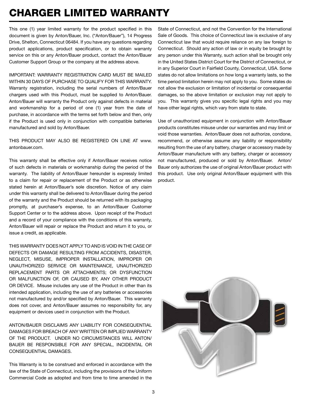### CHARGER LIMITED WARRANTY

This one (1) year limited warranty for the product specified in this document is given by Anton/Bauer, Inc. ("Anton/Bauer"), 14 Progress Drive, Shelton, Connecticut 06484. If you have any questions regarding product applications, product specification, or to obtain warranty service on this or any Anton/Bauer product, contact the Anton/Bauer Customer Support Group or the company at the address above.

IMPORTANT: WARRANTY REGISTRATION CARD MUST BE MAILED WITHIN 30 DAYS OF PURCHASE TO QUALIFY FOR THIS WARRANTY. Warranty registration, including the serial numbers of Anton/Bauer chargers used with this Product, must be supplied to Anton/Bauer. Anton/Bauer will warranty the Product only against defects in material and workmanship for a period of one (1) year from the date of purchase, in accordance with the terms set forth below and then, only if the Product is used only in conjunction with compatible batteries manufactured and sold by Anton/Bauer.

THIS PRODUCT MAY ALSO BE REGISTERED ON LINE AT www. antonbauer.com.

This warranty shall be effective only if Anton/Bauer receives notice of such defects in materials or workmanship during the period of the warranty. The liability of Anton/Bauer hereunder is expressly limited to a claim for repair or replacement of the Product or as otherwise stated herein at Anton/Bauer's sole discretion. Notice of any claim under this warranty shall be delivered to Anton/Bauer during the period of the warranty and the Product should be returned with its packaging promptly, at purchaser's expense, to an Anton/Bauer Customer Support Center or to the address above. Upon receipt of the Product and a record of your compliance with the conditions of this warranty, Anton/Bauer will repair or replace the Product and return it to you, or issue a credit, as applicable.

THIS WARRANTY DOES NOT APPLY TO AND IS VOID IN THE CASE OF DEFECTS OR DAMAGE RESULTING FROM ACCIDENTS, DISASTER, NEGLECT, MISUSE, IMPROPER INSTALLATION, IMPROPER OR UNAUTHORIZED SERVICE OR MAINTENANCE, UNAUTHORIZED REPLACEMENT PARTS OR ATTACHMENTS; OR DYSFUNCTION OR MALFUNCTION OF, OR CAUSED BY, ANY OTHER PRODUCT OR DEVICE. Misuse includes any use of the Product in other than its intended application, including the use of any batteries or accessories not manufactured by and/or specified by Anton/Bauer. This warranty does not cover, and Anton/Bauer assumes no responsibility for, any equipment or devices used in conjunction with the Product.

ANTON/BAUER DISCLAIMS ANY LIABILITY FOR CONSEQUENTIAL DAMAGES FOR BREACH OF ANY WRITTEN OR IMPLIED WARRANTY OF THE PRODUCT. UNDER NO CIRCUMSTANCES WILL ANTON/ BAUER BE RESPONSIBLE FOR ANY SPECIAL, INCIDENTAL OR CONSEQUENTIAL DAMAGES.

This Warranty is to be construed and enforced in accordance with the law of the State of Connecticut, including the provisions of the Uniform Commercial Code as adopted and from time to time amended in the

State of Connecticut, and not the Convention for the International Sale of Goods. This choice of Connecticut law is exclusive of any Connecticut law that would require reliance on any law foreign to Connecticut. Should any action of law or in equity be brought by any person under this Warranty, such action shall be brought only in the United States District Court for the District of Connecticut, or in any Superior Court in Fairfield County, Connecticut, USA. Some states do not allow limitations on how long a warranty lasts, so the time period limitation herein may not apply to you. Some states do not allow the exclusion or limitation of incidental or consequential damages, so the above limitation or exclusion may not apply to you. This warranty gives you specific legal rights and you may have other legal rights, which vary from state to state.

Use of unauthorized equipment in conjunction with Anton/Bauer products constitutes misuse under our warranties and may limit or void those warranties. Anton/Bauer does not authorize, condone, recommend, or otherwise assume any liability or responsibility resulting from the use of any battery, charger or accessory made by Anton/Bauer manufacture with any battery, charger or accessory not manufactured, produced or sold by Anton/Bauer. Anton/ Bauer only authorizes the use of original Anton/Bauer product with this product. Use only original Anton/Bauer equipment with this product.